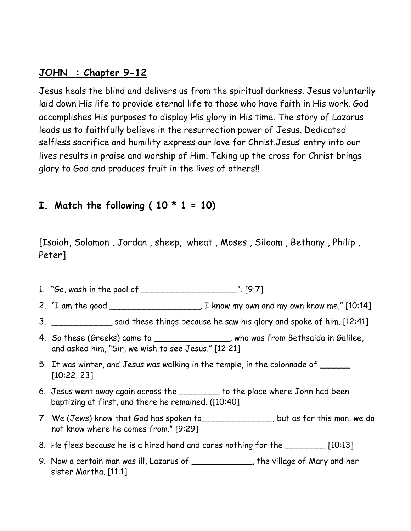#### **JOHN : Chapter 9-12**

Jesus heals the blind and delivers us from the spiritual darkness. Jesus voluntarily laid down His life to provide eternal life to those who have faith in His work. God accomplishes His purposes to display His glory in His time. The story of Lazarus leads us to faithfully believe in the resurrection power of Jesus. Dedicated selfless sacrifice and humility express our love for Christ.Jesus' entry into our lives results in praise and worship of Him. Taking up the cross for Christ brings glory to God and produces fruit in the lives of others!!

### **I.** Match the following  $(10 * 1 = 10)$

[Isaiah, Solomon , Jordan , sheep, wheat , Moses , Siloam , Bethany , Philip , Peter]

- 1. "Go, wash in the pool of \_\_\_\_\_\_\_\_\_\_\_\_\_\_\_\_\_\_\_". [9:7]
- 2. "I am the good \_\_\_\_\_\_\_\_\_\_\_\_\_\_\_\_\_\_\_\_\_. I know my own and my own know me," [10:14]
- 3. \_\_\_\_\_\_\_\_\_\_\_\_\_\_\_\_\_ said these things because he saw his glory and spoke of him. [12:41]
- 4. So these (Greeks) came to \_\_\_\_\_\_\_\_\_\_\_\_\_\_, who was from Bethsaida in Galilee, and asked him, "Sir, we wish to see Jesus." [12:21]
- 5. It was winter, and Jesus was walking in the temple, in the colonnade of \_\_\_\_\_\_. [10:22, 23]
- 6. Jesus went away again across the \_\_\_\_\_\_\_\_ to the place where John had been baptizing at first, and there he remained. ([10:40]
- 7. We (Jews) know that God has spoken to\_\_\_\_\_\_\_\_\_\_\_\_\_\_, but as for this man, we do not know where he comes from." [9:29]
- 8. He flees because he is a hired hand and cares nothing for the \_\_\_\_\_\_\_\_\_ [10:13]
- 9. Now a certain man was ill, Lazarus of \_\_\_\_\_\_\_\_\_\_\_\_, the village of Mary and her sister Martha. [11:1]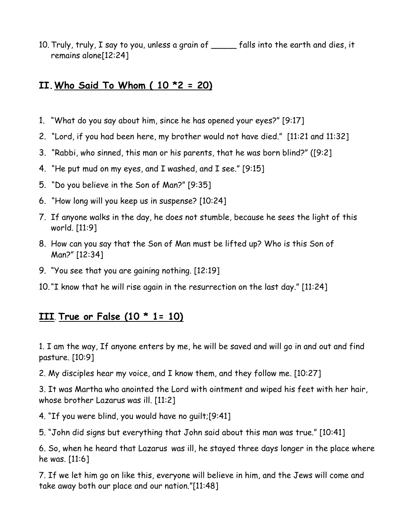10. Truly, truly, I say to you, unless a grain of \_\_\_\_\_ falls into the earth and dies, it remains alone[12:24]

### **II.Who Said To Whom ( 10 \*2 = 20)**

- 1. "What do you say about him, since he has opened your eyes?" [9:17]
- 2. "Lord, if you had been here, my brother would not have died." [11:21 and 11:32]
- 3. "Rabbi, who sinned, this man or his parents, that he was born blind?" ([9:2]
- 4. "He put mud on my eyes, and I washed, and I see." [9:15]
- 5. "Do you believe in the Son of Man?" [9:35]
- 6. "How long will you keep us in suspense? [10:24]
- 7. If anyone walks in the day, he does not stumble, because he sees the light of this world. [11:9]
- 8. How can you say that the Son of Man must be lifted up? Who is this Son of Man?" [12:34]
- 9. "You see that you are gaining nothing. [12:19]
- 10."I know that he will rise again in the resurrection on the last day." [11:24]

## **III**. **True or False (10 \* 1= 10)**

1. I am the way, If anyone enters by me, he will be saved and will go in and out and find pasture. [10:9]

2. My disciples hear my voice, and I know them, and they follow me. [10:27]

3. It was Martha who anointed the Lord with ointment and wiped his feet with her hair, whose brother Lazarus was ill. [11:2]

4. "If you were blind, you would have no guilt;[9:41]

5. "John did signs but everything that John said about this man was true." [10:41]

6. So, when he heard that Lazarus was ill, he stayed three days longer in the place where he was. [11:6]

7. If we let him go on like this, everyone will believe in him, and the Jews will come and take away both our place and our nation."[11:48]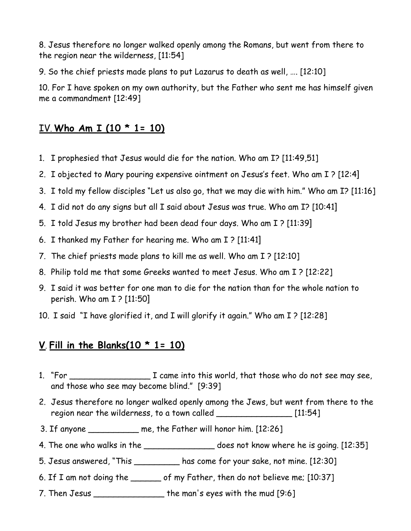8. Jesus therefore no longer walked openly among the Romans, but went from there to the region near the wilderness, [11:54]

9. So the chief priests made plans to put Lazarus to death as well, …. [12:10]

10. For I have spoken on my own authority, but the Father who sent me has himself given me a commandment [12:49]

### IV. **Who Am I (10 \* 1= 10)**

- 1. I prophesied that Jesus would die for the nation. Who am I? [11:49,51]
- 2. I objected to Mary pouring expensive ointment on Jesus's feet. Who am I ? [12:4]
- 3. I told my fellow disciples "Let us also go, that we may die with him." Who am I? [11:16]
- 4. I did not do any signs but all I said about Jesus was true. Who am I? [10:41]
- 5. I told Jesus my brother had been dead four days. Who am I ? [11:39]
- 6. I thanked my Father for hearing me. Who am I ? [11:41]
- 7. The chief priests made plans to kill me as well. Who am I ? [12:10]
- 8. Philip told me that some Greeks wanted to meet Jesus. Who am I ? [12:22]
- 9. I said it was better for one man to die for the nation than for the whole nation to perish. Who am I ? [11:50]
- 10. I said "I have glorified it, and I will glorify it again." Who am I ? [12:28]

# **V**. **Fill in the Blanks(10 \* 1= 10)**

- 1. "For \_\_\_\_\_\_\_\_\_\_\_\_\_\_\_\_ I came into this world, that those who do not see may see, and those who see may become blind." [9:39]
- 2. Jesus therefore no longer walked openly among the Jews, but went from there to the region near the wilderness, to a town called \_\_\_\_\_\_\_\_\_\_\_\_\_\_\_\_\_\_\_\_ [11:54]
- 3. If anyone \_\_\_\_\_\_\_\_\_\_ me, the Father will honor him. [12:26]
- 4. The one who walks in the \_\_\_\_\_\_\_\_\_\_\_\_\_\_\_\_\_\_\_ does not know where he is going. [12:35]
- 5. Jesus answered, "This \_\_\_\_\_\_\_\_\_ has come for your sake, not mine. [12:30]
- 6. If I am not doing the \_\_\_\_\_\_ of my Father, then do not believe me; [10:37]
- 7. Then Jesus \_\_\_\_\_\_\_\_\_\_\_\_\_\_ the man's eyes with the mud [9:6]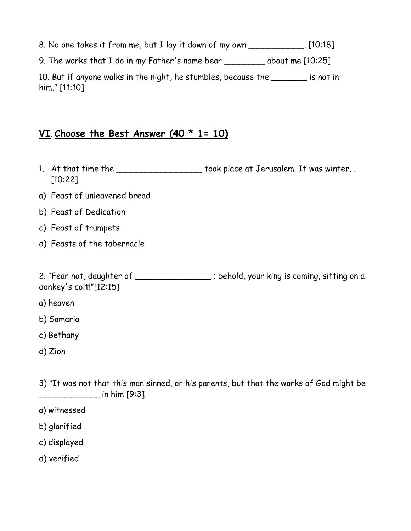8. No one takes it from me, but I lay it down of my own \_\_\_\_\_\_\_\_\_\_\_. [10:18]

9. The works that I do in my Father's name bear \_\_\_\_\_\_\_\_ about me [10:25]

10. But if anyone walks in the night, he stumbles, because the \_\_\_\_\_\_\_ is not in him." [11:10]

### **VI**. **Choose the Best Answer (40 \* 1= 10)**

- 1. At that time the **Landsler** took place at Jerusalem. It was winter, . [10:22]
- a) Feast of unleavened bread
- b) Feast of Dedication
- c) Feast of trumpets
- d) Feasts of the tabernacle

2. "Fear not, daughter of \_\_\_\_\_\_\_\_\_\_\_\_\_\_\_; behold, your king is coming, sitting on a donkey's colt!"[12:15]

- a) heaven
- b) Samaria
- c) Bethany
- d) Zion

3) "It was not that this man sinned, or his parents, but that the works of God might be \_\_\_\_\_\_\_\_\_\_\_\_ in him [9:3]

- a) witnessed
- b) glorified
- c) displayed
- d) verified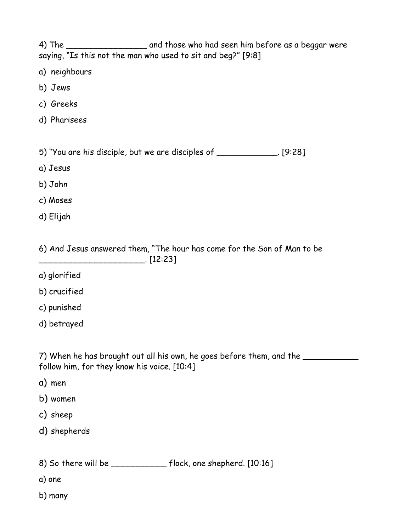4) The \_\_\_\_\_\_\_\_\_\_\_\_\_\_\_\_\_\_\_\_\_\_\_ and those who had seen him before as a beggar were saying, "Is this not the man who used to sit and beg?" [9:8]

- a) neighbours
- b) Jews
- c) Greeks
- d) Pharisees

5) "You are his disciple, but we are disciples of \_\_\_\_\_\_\_\_\_\_\_\_. [9:28]

- a) Jesus
- b) John
- c) Moses
- d) Elijah

6) And Jesus answered them, "The hour has come for the Son of Man to be \_\_\_\_\_\_\_\_\_\_\_\_\_\_\_\_\_\_\_\_\_. [12:23]

- a) glorified
- b) crucified
- c) punished
- d) betrayed

7) When he has brought out all his own, he goes before them, and the follow him, for they know his voice. [10:4]

- a) men
- b) women
- c) sheep
- d) shepherds
- 8) So there will be \_\_\_\_\_\_\_\_\_\_\_\_\_\_ flock, one shepherd. [10:16]
- a) one
- b) many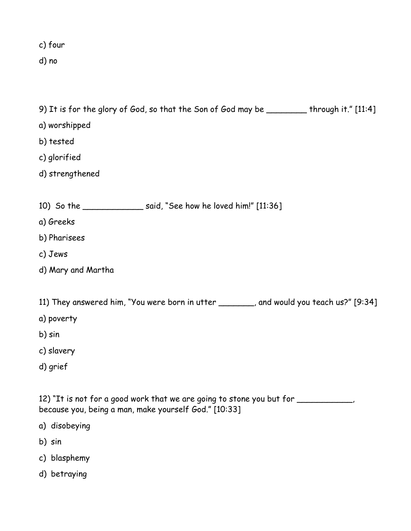c) four

d) no

9) It is for the glory of God, so that the Son of God may be \_\_\_\_\_\_\_\_ through it." [11:4]

- a) worshipped
- b) tested
- c) glorified
- d) strengthened

|  | 10) So the |  | said, "See how he loved him!" [11:36] |  |  |  |
|--|------------|--|---------------------------------------|--|--|--|
|--|------------|--|---------------------------------------|--|--|--|

- a) Greeks
- b) Pharisees
- c) Jews
- d) Mary and Martha

11) They answered him, "You were born in utter \_\_\_\_\_\_, and would you teach us?" [9:34]

- a) poverty
- b) sin
- c) slavery
- d) grief

12) "It is not for a good work that we are going to stone you but for \_\_\_\_\_\_\_\_\_\_, because you, being a man, make yourself God." [10:33]

- a) disobeying
- b) sin
- c) blasphemy
- d) betraying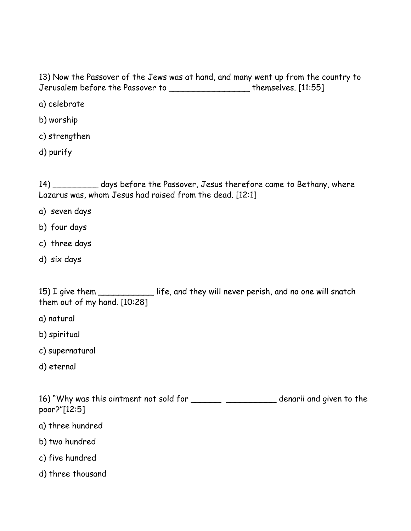13) Now the Passover of the Jews was at hand, and many went up from the country to Jerusalem before the Passover to \_\_\_\_\_\_\_\_\_\_\_\_\_\_\_\_ themselves. [11:55]

a) celebrate

b) worship

c) strengthen

d) purify

14) \_\_\_\_\_\_\_\_\_ days before the Passover, Jesus therefore came to Bethany, where Lazarus was, whom Jesus had raised from the dead. [12:1]

- a) seven days
- b) four days
- c) three days
- d) six days

15) I give them \_\_\_\_\_\_\_\_\_\_\_ life, and they will never perish, and no one will snatch them out of my hand. [10:28]

- a) natural
- b) spiritual
- c) supernatural
- d) eternal

16) "Why was this ointment not sold for \_\_\_\_\_\_\_\_\_\_\_\_\_\_\_\_\_\_\_\_\_\_\_ denarii and given to the poor?"[12:5]

- a) three hundred
- b) two hundred
- c) five hundred
- d) three thousand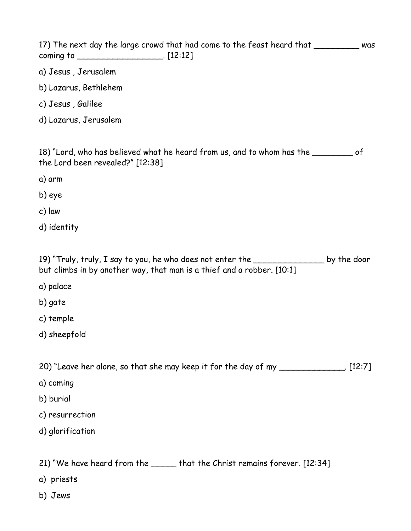| 17) The next day the large crowd that had come to the feast heard that __________ was                                                                                 |
|-----------------------------------------------------------------------------------------------------------------------------------------------------------------------|
| a) Jesus, Jerusalem                                                                                                                                                   |
| b) Lazarus, Bethlehem                                                                                                                                                 |
| c) Jesus, Galilee                                                                                                                                                     |
| d) Lazarus, Jerusalem                                                                                                                                                 |
| 18) "Lord, who has believed what he heard from us, and to whom has the __________ of<br>the Lord been revealed?" [12:38]                                              |
| a) arm                                                                                                                                                                |
| b) eye                                                                                                                                                                |
| c) law                                                                                                                                                                |
| d) identity                                                                                                                                                           |
| 19) "Truly, truly, I say to you, he who does not enter the ____________________ by the door<br>but climbs in by another way, that man is a thief and a robber. [10:1] |
| a) palace                                                                                                                                                             |
| b) gate                                                                                                                                                               |
| c) temple                                                                                                                                                             |
| d) sheepfold                                                                                                                                                          |
| 20) "Leave her alone, so that she may keep it for the day of my ______________. [12:7]                                                                                |
| a) coming                                                                                                                                                             |
| b) burial                                                                                                                                                             |
| c) resurrection                                                                                                                                                       |
| d) glorification                                                                                                                                                      |
| 21) "We have heard from the ______ that the Christ remains forever. [12:34]                                                                                           |
| a) priests                                                                                                                                                            |
| b) Jews                                                                                                                                                               |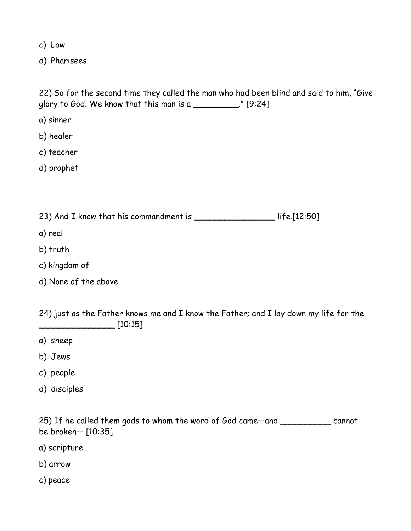c) Law

d) Pharisees

22) So for the second time they called the man who had been blind and said to him, "Give glory to God. We know that this man is a \_\_\_\_\_\_\_\_\_." [9:24]

a) sinner

b) healer

c) teacher

d) prophet

23) And I know that his commandment is \_\_\_\_\_\_\_\_\_\_\_\_\_\_\_\_\_\_\_\_ life.[12:50]

a) real

b) truth

- c) kingdom of
- d) None of the above

24) just as the Father knows me and I know the Father; and I lay down my life for the \_\_\_\_\_\_\_\_\_\_\_\_\_\_\_ [10:15]

- a) sheep
- b) Jews
- c) people
- d) disciples

25) If he called them gods to whom the word of God came—and \_\_\_\_\_\_\_\_\_\_ cannot be broken— [10:35]

- a) scripture
- b) arrow
- c) peace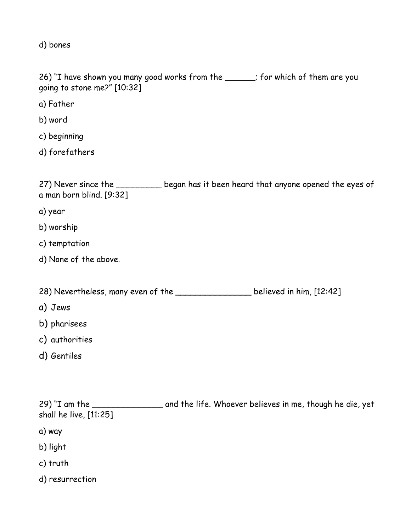d) bones

26) "I have shown you many good works from the \_\_\_\_\_; for which of them are you going to stone me?" [10:32]

a) Father

b) word

c) beginning

d) forefathers

27) Never since the \_\_\_\_\_\_\_\_\_ began has it been heard that anyone opened the eyes of a man born blind. [9:32]

a) year

- b) worship
- c) temptation
- d) None of the above.

28) Nevertheless, many even of the **Land Communist Control** believed in him, [12:42]

- a) Jews
- b) pharisees
- c) authorities
- d) Gentiles

29) "I am the \_\_\_\_\_\_\_\_\_\_\_\_\_\_\_\_\_ and the life. Whoever believes in me, though he die, yet shall he live, [11:25]

- a) way
- b) light
- c) truth
- d) resurrection